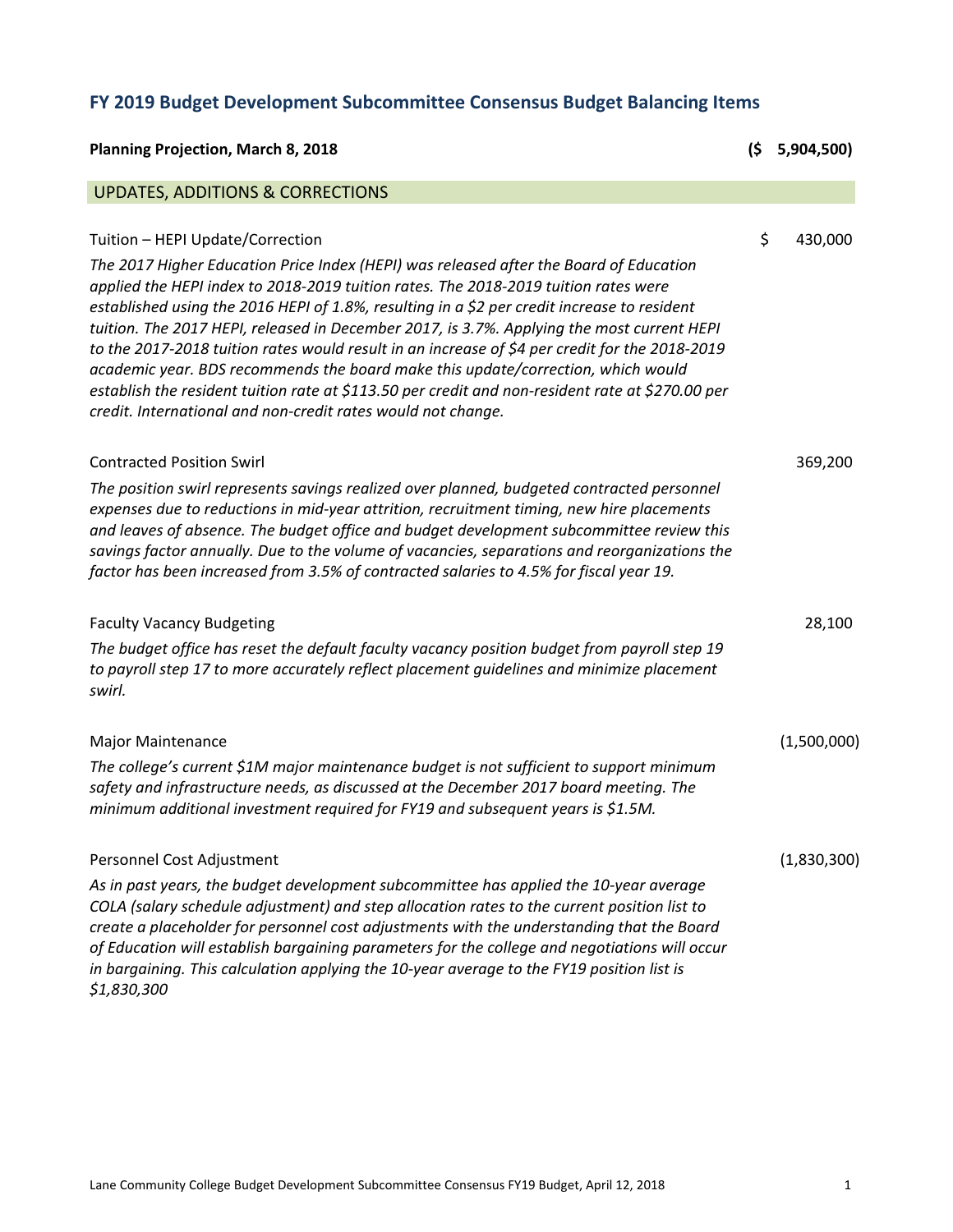## **FY 2019 Budget Development Subcommittee Consensus Budget Balancing Items**

| <b>Planning Projection, March 8, 2018</b>                                                                                                                                                                                                                                                                                                                                                                                                                                                                                                                                                                                                                                                                                                                                | (\$ | 5,904,500)  |
|--------------------------------------------------------------------------------------------------------------------------------------------------------------------------------------------------------------------------------------------------------------------------------------------------------------------------------------------------------------------------------------------------------------------------------------------------------------------------------------------------------------------------------------------------------------------------------------------------------------------------------------------------------------------------------------------------------------------------------------------------------------------------|-----|-------------|
| <b>UPDATES, ADDITIONS &amp; CORRECTIONS</b>                                                                                                                                                                                                                                                                                                                                                                                                                                                                                                                                                                                                                                                                                                                              |     |             |
| Tuition - HEPI Update/Correction<br>The 2017 Higher Education Price Index (HEPI) was released after the Board of Education<br>applied the HEPI index to 2018-2019 tuition rates. The 2018-2019 tuition rates were<br>established using the 2016 HEPI of 1.8%, resulting in a \$2 per credit increase to resident<br>tuition. The 2017 HEPI, released in December 2017, is 3.7%. Applying the most current HEPI<br>to the 2017-2018 tuition rates would result in an increase of \$4 per credit for the 2018-2019<br>academic year. BDS recommends the board make this update/correction, which would<br>establish the resident tuition rate at \$113.50 per credit and non-resident rate at \$270.00 per<br>credit. International and non-credit rates would not change. | \$  | 430,000     |
| <b>Contracted Position Swirl</b><br>The position swirl represents savings realized over planned, budgeted contracted personnel<br>expenses due to reductions in mid-year attrition, recruitment timing, new hire placements<br>and leaves of absence. The budget office and budget development subcommittee review this<br>savings factor annually. Due to the volume of vacancies, separations and reorganizations the<br>factor has been increased from 3.5% of contracted salaries to 4.5% for fiscal year 19.                                                                                                                                                                                                                                                        |     | 369,200     |
| <b>Faculty Vacancy Budgeting</b><br>The budget office has reset the default faculty vacancy position budget from payroll step 19<br>to payroll step 17 to more accurately reflect placement guidelines and minimize placement<br>swirl.                                                                                                                                                                                                                                                                                                                                                                                                                                                                                                                                  |     | 28,100      |
| <b>Major Maintenance</b><br>The college's current \$1M major maintenance budget is not sufficient to support minimum<br>safety and infrastructure needs, as discussed at the December 2017 board meeting. The<br>minimum additional investment required for FY19 and subsequent years is \$1.5M.                                                                                                                                                                                                                                                                                                                                                                                                                                                                         |     | (1,500,000) |
| Personnel Cost Adjustment<br>As in past years, the budget development subcommittee has applied the 10-year average<br>COLA (salary schedule adjustment) and step allocation rates to the current position list to<br>create a placeholder for personnel cost adjustments with the understanding that the Board<br>of Education will establish bargaining parameters for the college and negotiations will occur<br>in bargaining. This calculation applying the 10-year average to the FY19 position list is<br>\$1,830,300                                                                                                                                                                                                                                              |     | (1,830,300) |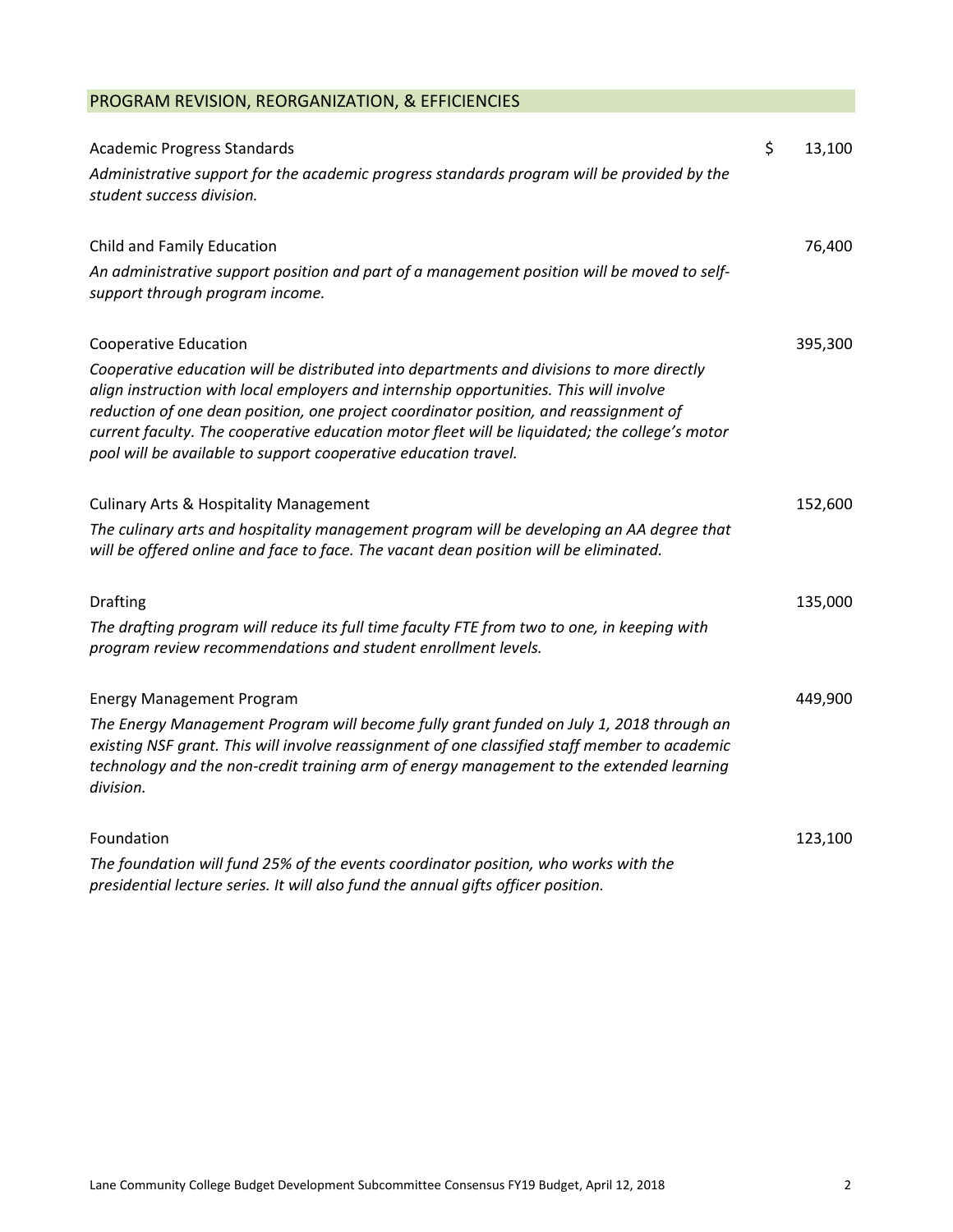## PROGRAM REVISION, REORGANIZATION, & EFFICIENCIES

| <b>Academic Progress Standards</b>                                                                                                                                                                                                                                                                                                                                                                                                                | \$<br>13,100 |
|---------------------------------------------------------------------------------------------------------------------------------------------------------------------------------------------------------------------------------------------------------------------------------------------------------------------------------------------------------------------------------------------------------------------------------------------------|--------------|
| Administrative support for the academic progress standards program will be provided by the<br>student success division.                                                                                                                                                                                                                                                                                                                           |              |
| Child and Family Education                                                                                                                                                                                                                                                                                                                                                                                                                        | 76,400       |
| An administrative support position and part of a management position will be moved to self-<br>support through program income.                                                                                                                                                                                                                                                                                                                    |              |
| <b>Cooperative Education</b>                                                                                                                                                                                                                                                                                                                                                                                                                      | 395,300      |
| Cooperative education will be distributed into departments and divisions to more directly<br>align instruction with local employers and internship opportunities. This will involve<br>reduction of one dean position, one project coordinator position, and reassignment of<br>current faculty. The cooperative education motor fleet will be liquidated; the college's motor<br>pool will be available to support cooperative education travel. |              |
| <b>Culinary Arts &amp; Hospitality Management</b>                                                                                                                                                                                                                                                                                                                                                                                                 | 152,600      |
| The culinary arts and hospitality management program will be developing an AA degree that<br>will be offered online and face to face. The vacant dean position will be eliminated.                                                                                                                                                                                                                                                                |              |
| <b>Drafting</b>                                                                                                                                                                                                                                                                                                                                                                                                                                   | 135,000      |
| The drafting program will reduce its full time faculty FTE from two to one, in keeping with<br>program review recommendations and student enrollment levels.                                                                                                                                                                                                                                                                                      |              |
| <b>Energy Management Program</b>                                                                                                                                                                                                                                                                                                                                                                                                                  | 449,900      |
| The Energy Management Program will become fully grant funded on July 1, 2018 through an<br>existing NSF grant. This will involve reassignment of one classified staff member to academic<br>technology and the non-credit training arm of energy management to the extended learning<br>division.                                                                                                                                                 |              |
| Foundation                                                                                                                                                                                                                                                                                                                                                                                                                                        | 123,100      |
| The foundation will fund 25% of the events coordinator position, who works with the<br>presidential lecture series. It will also fund the annual gifts officer position.                                                                                                                                                                                                                                                                          |              |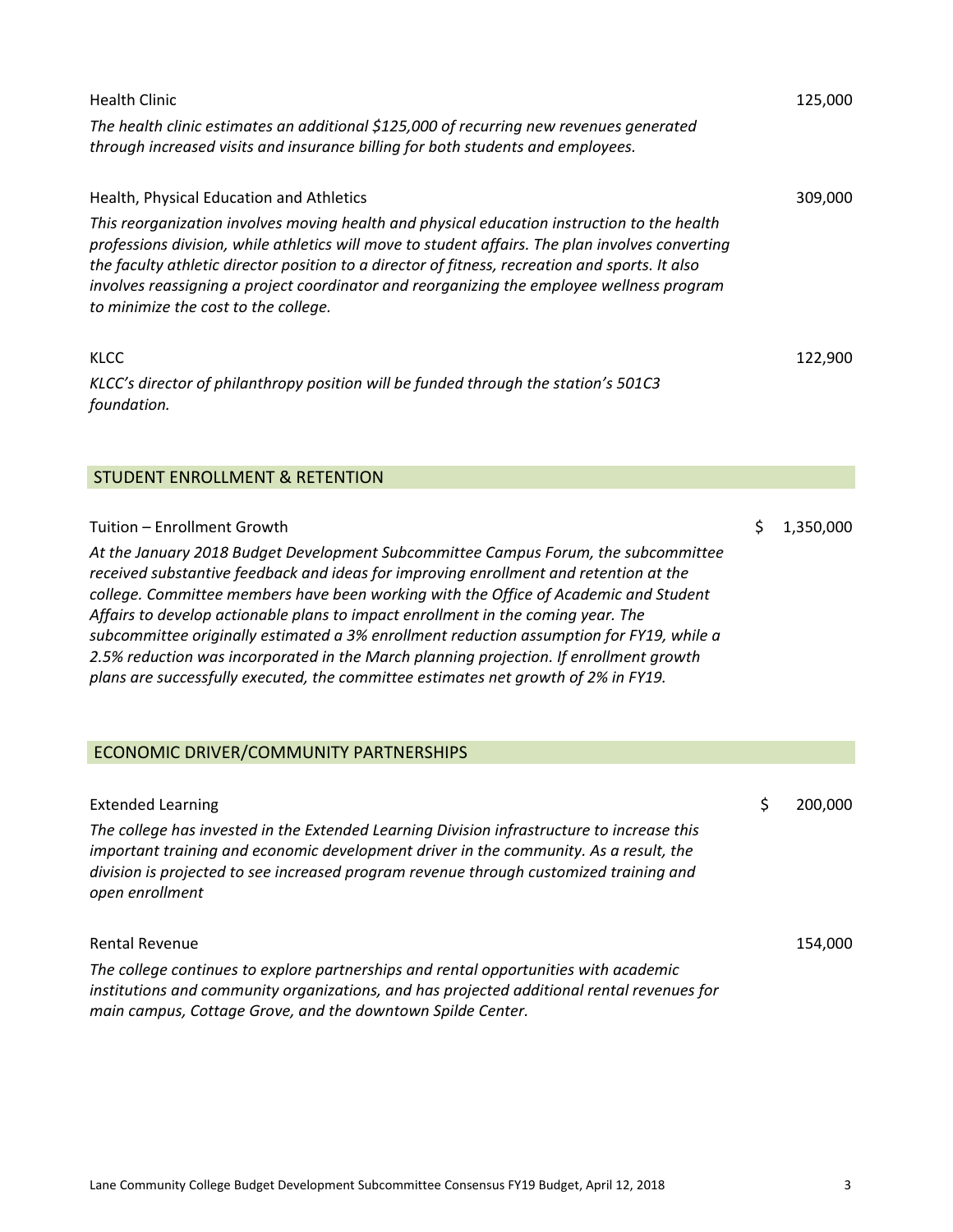| Health Clinic                                                                                                                                                                                                                                                                                                                                                                                                                                                                                                                                                                                                                       | 125,000         |
|-------------------------------------------------------------------------------------------------------------------------------------------------------------------------------------------------------------------------------------------------------------------------------------------------------------------------------------------------------------------------------------------------------------------------------------------------------------------------------------------------------------------------------------------------------------------------------------------------------------------------------------|-----------------|
| The health clinic estimates an additional \$125,000 of recurring new revenues generated<br>through increased visits and insurance billing for both students and employees.                                                                                                                                                                                                                                                                                                                                                                                                                                                          |                 |
| <b>Health, Physical Education and Athletics</b>                                                                                                                                                                                                                                                                                                                                                                                                                                                                                                                                                                                     | 309,000         |
| This reorganization involves moving health and physical education instruction to the health<br>professions division, while athletics will move to student affairs. The plan involves converting<br>the faculty athletic director position to a director of fitness, recreation and sports. It also<br>involves reassigning a project coordinator and reorganizing the employee wellness program<br>to minimize the cost to the college.                                                                                                                                                                                             |                 |
| KLCC                                                                                                                                                                                                                                                                                                                                                                                                                                                                                                                                                                                                                                | 122,900         |
| KLCC's director of philanthropy position will be funded through the station's 501C3<br>foundation.                                                                                                                                                                                                                                                                                                                                                                                                                                                                                                                                  |                 |
| <b>STUDENT ENROLLMENT &amp; RETENTION</b>                                                                                                                                                                                                                                                                                                                                                                                                                                                                                                                                                                                           |                 |
|                                                                                                                                                                                                                                                                                                                                                                                                                                                                                                                                                                                                                                     |                 |
| Tuition - Enrollment Growth                                                                                                                                                                                                                                                                                                                                                                                                                                                                                                                                                                                                         | \$<br>1,350,000 |
| At the January 2018 Budget Development Subcommittee Campus Forum, the subcommittee<br>received substantive feedback and ideas for improving enrollment and retention at the<br>college. Committee members have been working with the Office of Academic and Student<br>Affairs to develop actionable plans to impact enrollment in the coming year. The<br>subcommittee originally estimated a 3% enrollment reduction assumption for FY19, while a<br>2.5% reduction was incorporated in the March planning projection. If enrollment growth<br>plans are successfully executed, the committee estimates net growth of 2% in FY19. |                 |
| ECONOMIC DRIVER/COMMUNITY PARTNERSHIPS                                                                                                                                                                                                                                                                                                                                                                                                                                                                                                                                                                                              |                 |
| <b>Extended Learning</b>                                                                                                                                                                                                                                                                                                                                                                                                                                                                                                                                                                                                            | \$<br>200,000   |
| The college has invested in the Extended Learning Division infrastructure to increase this<br>important training and economic development driver in the community. As a result, the<br>division is projected to see increased program revenue through customized training and<br>open enrollment                                                                                                                                                                                                                                                                                                                                    |                 |
| Rental Revenue                                                                                                                                                                                                                                                                                                                                                                                                                                                                                                                                                                                                                      | 154,000         |
| The college continues to explore partnerships and rental opportunities with academic<br>institutions and community organizations, and has projected additional rental revenues for<br>main campus, Cottage Grove, and the downtown Spilde Center.                                                                                                                                                                                                                                                                                                                                                                                   |                 |
|                                                                                                                                                                                                                                                                                                                                                                                                                                                                                                                                                                                                                                     |                 |

I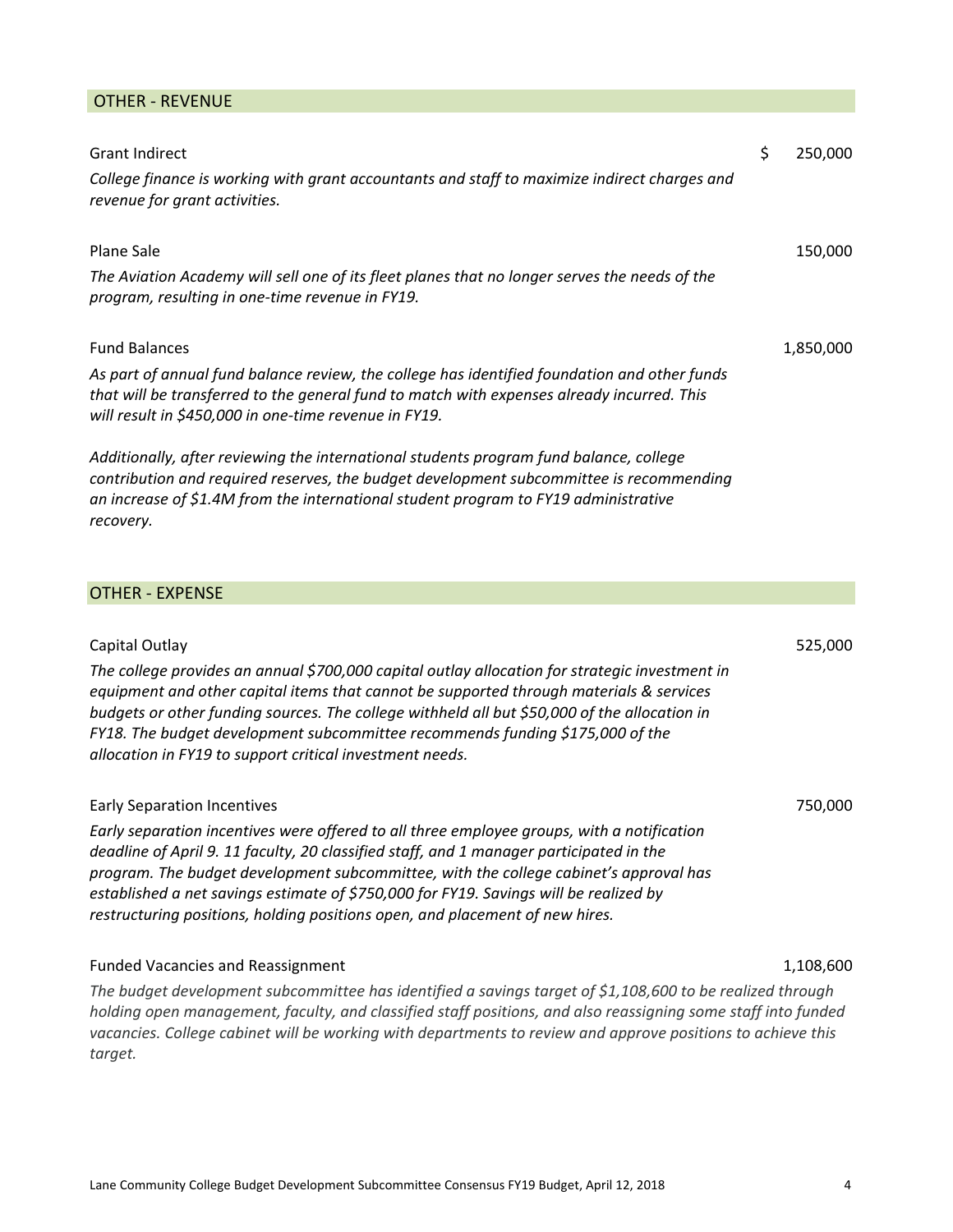## OTHER ‐ REVENUE

| <b>Grant Indirect</b>                                                                                                                                                                                                                                                                                                                                                                                                                                    | \$<br>250,000 |
|----------------------------------------------------------------------------------------------------------------------------------------------------------------------------------------------------------------------------------------------------------------------------------------------------------------------------------------------------------------------------------------------------------------------------------------------------------|---------------|
| College finance is working with grant accountants and staff to maximize indirect charges and<br>revenue for grant activities.                                                                                                                                                                                                                                                                                                                            |               |
| Plane Sale                                                                                                                                                                                                                                                                                                                                                                                                                                               | 150,000       |
| The Aviation Academy will sell one of its fleet planes that no longer serves the needs of the<br>program, resulting in one-time revenue in FY19.                                                                                                                                                                                                                                                                                                         |               |
| <b>Fund Balances</b>                                                                                                                                                                                                                                                                                                                                                                                                                                     | 1,850,000     |
| As part of annual fund balance review, the college has identified foundation and other funds<br>that will be transferred to the general fund to match with expenses already incurred. This<br>will result in \$450,000 in one-time revenue in FY19.                                                                                                                                                                                                      |               |
| Additionally, after reviewing the international students program fund balance, college<br>contribution and required reserves, the budget development subcommittee is recommending<br>an increase of \$1.4M from the international student program to FY19 administrative<br>recovery.                                                                                                                                                                    |               |
| <b>OTHER - EXPENSE</b>                                                                                                                                                                                                                                                                                                                                                                                                                                   |               |
|                                                                                                                                                                                                                                                                                                                                                                                                                                                          |               |
| Capital Outlay<br>The college provides an annual \$700,000 capital outlay allocation for strategic investment in<br>equipment and other capital items that cannot be supported through materials & services<br>budgets or other funding sources. The college withheld all but \$50,000 of the allocation in<br>FY18. The budget development subcommittee recommends funding \$175,000 of the<br>allocation in FY19 to support critical investment needs. | 525,000       |
| <b>Early Separation Incentives</b>                                                                                                                                                                                                                                                                                                                                                                                                                       | 750,000       |
| Early separation incentives were offered to all three employee groups, with a notification<br>deadline of April 9. 11 faculty, 20 classified staff, and 1 manager participated in the<br>program. The budget development subcommittee, with the college cabinet's approval has<br>established a net savings estimate of \$750,000 for FY19. Savings will be realized by<br>restructuring positions, holding positions open, and placement of new hires.  |               |

## Funded Vacancies and Reassignment 1,108,600

*The budget development subcommittee has identified a savings target of \$1,108,600 to be realized through holding open management, faculty, and classified staff positions, and also reassigning some staff into funded vacancies. College cabinet will be working with departments to review and approve positions to achieve this target.*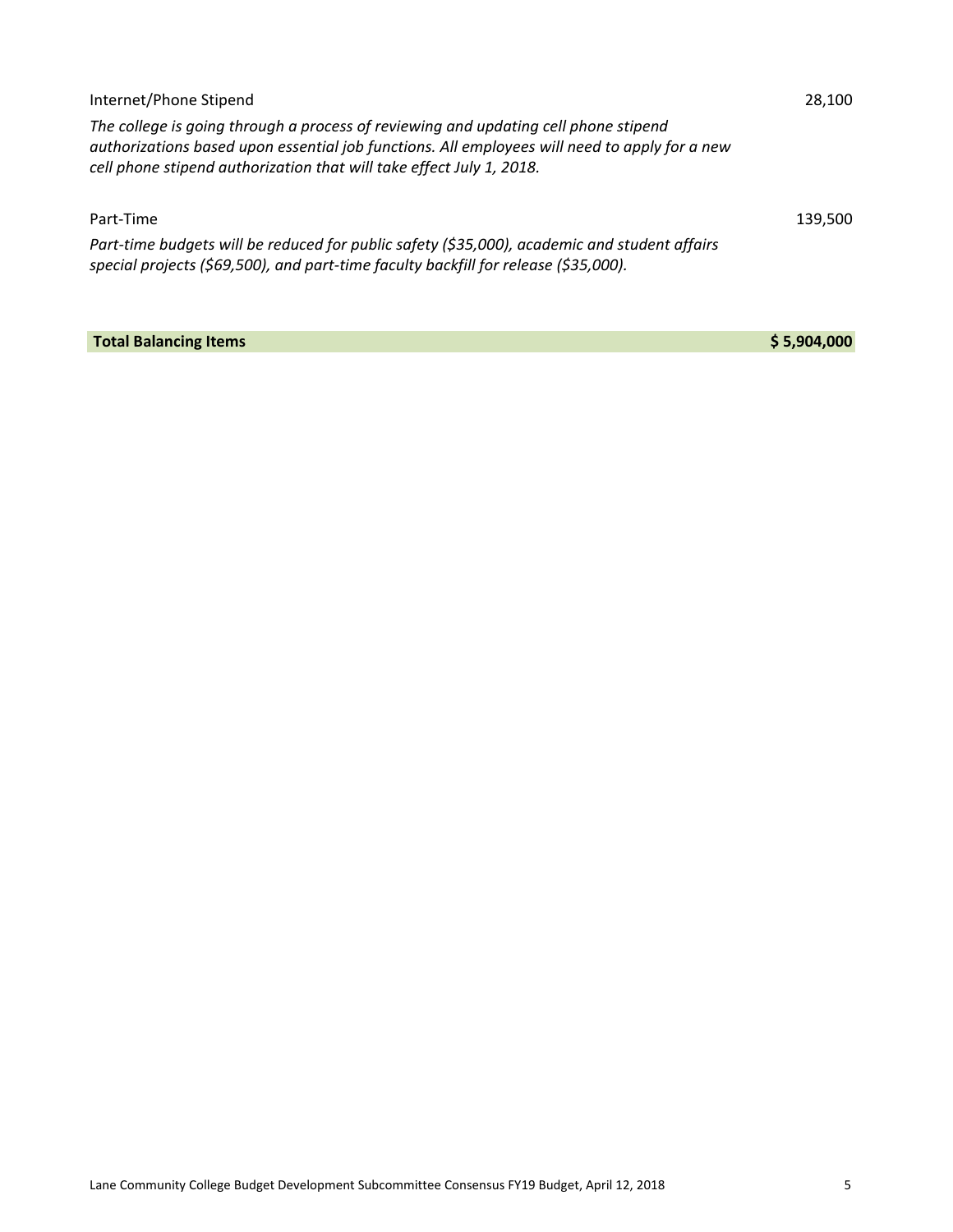| Internet/Phone Stipend                                                                                                                                                                                                                                       | 28.100  |  |
|--------------------------------------------------------------------------------------------------------------------------------------------------------------------------------------------------------------------------------------------------------------|---------|--|
| The college is going through a process of reviewing and updating cell phone stipend<br>authorizations based upon essential job functions. All employees will need to apply for a new<br>cell phone stipend authorization that will take effect July 1, 2018. |         |  |
| Part-Time                                                                                                                                                                                                                                                    | 139.500 |  |
| Part-time budgets will be reduced for public safety (\$35,000), academic and student affairs<br>special projects (\$69,500), and part-time faculty backfill for release (\$35,000).                                                                          |         |  |

**Total Balancing Items \$ 5,904,000**